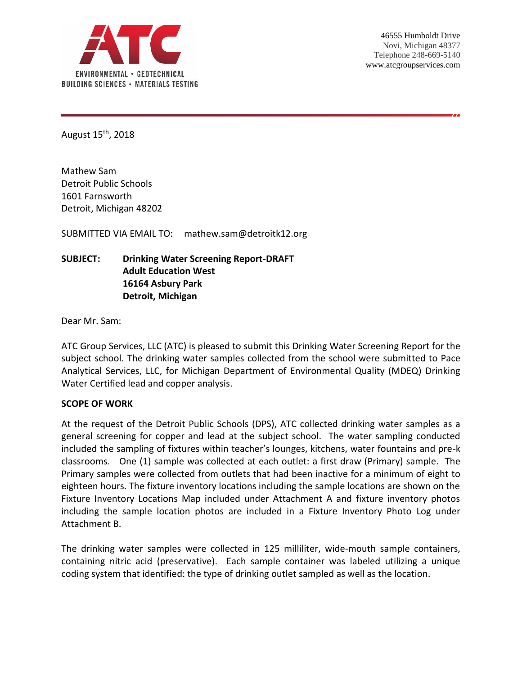

August 15th, 2018

Mathew Sam Detroit Public Schools 1601 Farnsworth Detroit, Michigan 48202

SUBMITTED VIA EMAIL TO: mathew.sam@detroitk12.org

# **SUBJECT: Drinking Water Screening Report-DRAFT Adult Education West 16164 Asbury Park Detroit, Michigan**

Dear Mr. Sam:

ATC Group Services, LLC (ATC) is pleased to submit this Drinking Water Screening Report for the subject school. The drinking water samples collected from the school were submitted to Pace Analytical Services, LLC, for Michigan Department of Environmental Quality (MDEQ) Drinking Water Certified lead and copper analysis.

#### **SCOPE OF WORK**

At the request of the Detroit Public Schools (DPS), ATC collected drinking water samples as a general screening for copper and lead at the subject school. The water sampling conducted included the sampling of fixtures within teacher's lounges, kitchens, water fountains and pre-k classrooms. One (1) sample was collected at each outlet: a first draw (Primary) sample. The Primary samples were collected from outlets that had been inactive for a minimum of eight to eighteen hours. The fixture inventory locations including the sample locations are shown on the Fixture Inventory Locations Map included under Attachment A and fixture inventory photos including the sample location photos are included in a Fixture Inventory Photo Log under Attachment B.

The drinking water samples were collected in 125 milliliter, wide-mouth sample containers, containing nitric acid (preservative). Each sample container was labeled utilizing a unique coding system that identified: the type of drinking outlet sampled as well as the location.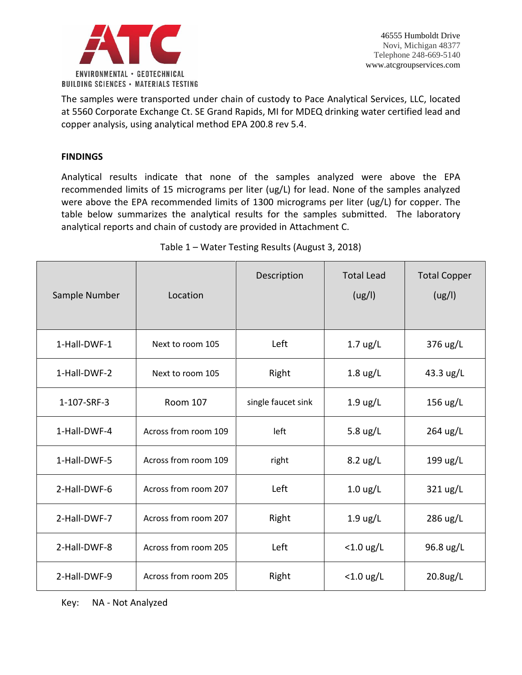

The samples were transported under chain of custody to Pace Analytical Services, LLC, located at 5560 Corporate Exchange Ct. SE Grand Rapids, MI for MDEQ drinking water certified lead and copper analysis, using analytical method EPA 200.8 rev 5.4.

## **FINDINGS**

Analytical results indicate that none of the samples analyzed were above the EPA recommended limits of 15 micrograms per liter (ug/L) for lead. None of the samples analyzed were above the EPA recommended limits of 1300 micrograms per liter (ug/L) for copper. The table below summarizes the analytical results for the samples submitted. The laboratory analytical reports and chain of custody are provided in Attachment C.

| Sample Number | Location             | Description        | <b>Total Lead</b><br>(ug/l)     | <b>Total Copper</b><br>(ug/l) |
|---------------|----------------------|--------------------|---------------------------------|-------------------------------|
| 1-Hall-DWF-1  | Next to room 105     | Left               | $1.7 \text{ ug/L}$              | 376 ug/L                      |
| 1-Hall-DWF-2  | Next to room 105     | Right              | $1.8 \text{ ug/L}$              | 43.3 ug/L                     |
| 1-107-SRF-3   | <b>Room 107</b>      | single faucet sink | $1.9 \text{ ug/L}$              | 156 ug/L                      |
| 1-Hall-DWF-4  | Across from room 109 | left               | 5.8 $\frac{\text{u}}{\text{g}}$ | 264 ug/L                      |
| 1-Hall-DWF-5  | Across from room 109 | right              | $8.2 \text{ ug/L}$              | 199 ug/L                      |
| 2-Hall-DWF-6  | Across from room 207 | Left               | $1.0 \text{ ug/L}$              | 321 ug/L                      |
| 2-Hall-DWF-7  | Across from room 207 | Right              | $1.9 \text{ ug/L}$              | 286 ug/L                      |
| 2-Hall-DWF-8  | Across from room 205 | Left               | $<$ 1.0 ug/L                    | 96.8 ug/L                     |
| 2-Hall-DWF-9  | Across from room 205 | Right              | $<$ 1.0 ug/L                    | 20.8ug/L                      |

Table 1 – Water Testing Results (August 3, 2018)

Key: NA - Not Analyzed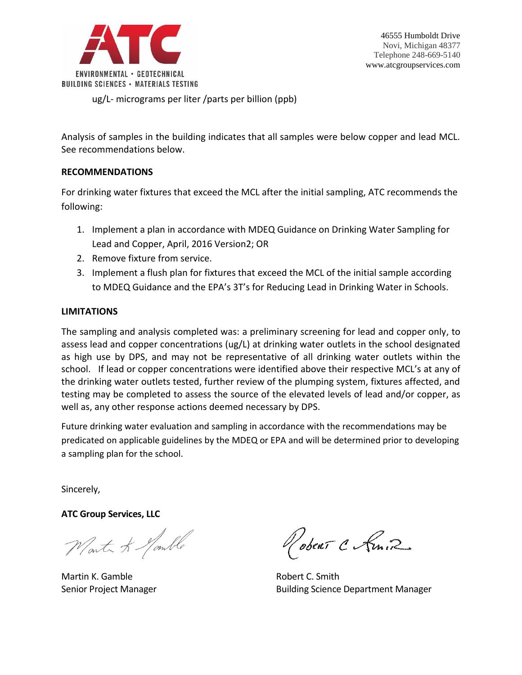

ug/L- micrograms per liter /parts per billion (ppb)

Analysis of samples in the building indicates that all samples were below copper and lead MCL. See recommendations below.

### **RECOMMENDATIONS**

For drinking water fixtures that exceed the MCL after the initial sampling, ATC recommends the following:

- 1. Implement a plan in accordance with MDEQ Guidance on Drinking Water Sampling for Lead and Copper, April, 2016 Version2; OR
- 2. Remove fixture from service.
- 3. Implement a flush plan for fixtures that exceed the MCL of the initial sample according to MDEQ Guidance and the EPA's 3T's for Reducing Lead in Drinking Water in Schools.

#### **LIMITATIONS**

The sampling and analysis completed was: a preliminary screening for lead and copper only, to assess lead and copper concentrations (ug/L) at drinking water outlets in the school designated as high use by DPS, and may not be representative of all drinking water outlets within the school. If lead or copper concentrations were identified above their respective MCL's at any of the drinking water outlets tested, further review of the plumping system, fixtures affected, and testing may be completed to assess the source of the elevated levels of lead and/or copper, as well as, any other response actions deemed necessary by DPS.

Future drinking water evaluation and sampling in accordance with the recommendations may be predicated on applicable guidelines by the MDEQ or EPA and will be determined prior to developing a sampling plan for the school.

Sincerely,

**ATC Group Services, LLC**

Worth & Nomble

Martin K. Gamble **Robert C. Smith** 

obent C Kmin

Senior Project Manager **Building Science Department Manager** Building Science Department Manager